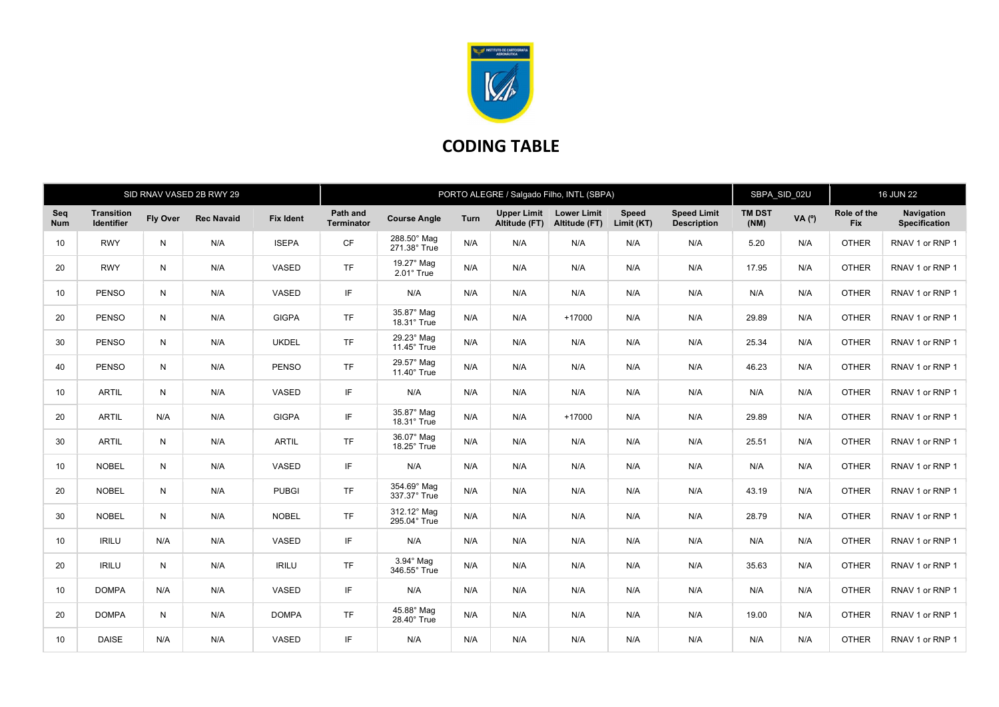

## CODING TABLE

| SID RNAV VASED 2B RWY 29 |                          |                 |                   |                  | PORTO ALEGRE / Salgado Filho, INTL (SBPA) |                                  |             |                                     |                                     |                            |                                          | SBPA_SID_02U          |          | <b>16 JUN 22</b>          |                                    |
|--------------------------|--------------------------|-----------------|-------------------|------------------|-------------------------------------------|----------------------------------|-------------|-------------------------------------|-------------------------------------|----------------------------|------------------------------------------|-----------------------|----------|---------------------------|------------------------------------|
| Seq<br><b>Num</b>        | Transition<br>Identifier | <b>Fly Over</b> | <b>Rec Navaid</b> | <b>Fix Ident</b> | Path and<br><b>Terminator</b>             | <b>Course Angle</b>              | <b>Turn</b> | <b>Upper Limit</b><br>Altitude (FT) | <b>Lower Limit</b><br>Altitude (FT) | <b>Speed</b><br>Limit (KT) | <b>Speed Limit</b><br><b>Description</b> | <b>TM DST</b><br>(NM) | VA $(°)$ | Role of the<br><b>Fix</b> | Navigation<br><b>Specification</b> |
| 10 <sup>1</sup>          | <b>RWY</b>               | $\mathsf{N}$    | N/A               | <b>ISEPA</b>     | <b>CF</b>                                 | 288.50° Mag<br>271.38° True      | N/A         | N/A                                 | N/A                                 | N/A                        | N/A                                      | 5.20                  | N/A      | <b>OTHER</b>              | RNAV 1 or RNP 1                    |
| 20                       | <b>RWY</b>               | N               | N/A               | VASED            | <b>TF</b>                                 | 19.27° Mag<br>$2.01^\circ$ True  | N/A         | N/A                                 | N/A                                 | N/A                        | N/A                                      | 17.95                 | N/A      | <b>OTHER</b>              | RNAV 1 or RNP 1                    |
| 10                       | <b>PENSO</b>             | N               | N/A               | VASED            | IF                                        | N/A                              | N/A         | N/A                                 | N/A                                 | N/A                        | N/A                                      | N/A                   | N/A      | <b>OTHER</b>              | RNAV 1 or RNP 1                    |
| 20                       | <b>PENSO</b>             | N               | N/A               | <b>GIGPA</b>     | <b>TF</b>                                 | 35.87° Mag<br>18.31° True        | N/A         | N/A                                 | $+17000$                            | N/A                        | N/A                                      | 29.89                 | N/A      | <b>OTHER</b>              | RNAV 1 or RNP 1                    |
| 30                       | <b>PENSO</b>             | $\mathsf{N}$    | N/A               | <b>UKDEL</b>     | <b>TF</b>                                 | 29.23° Mag<br>$11.45^\circ$ True | N/A         | N/A                                 | N/A                                 | N/A                        | N/A                                      | 25.34                 | N/A      | <b>OTHER</b>              | RNAV 1 or RNP 1                    |
| 40                       | <b>PENSO</b>             | N               | N/A               | <b>PENSO</b>     | <b>TF</b>                                 | 29.57° Mag<br>$11.40^\circ$ True | N/A         | N/A                                 | N/A                                 | N/A                        | N/A                                      | 46.23                 | N/A      | <b>OTHER</b>              | RNAV 1 or RNP 1                    |
| 10 <sup>°</sup>          | <b>ARTIL</b>             | N               | N/A               | VASED            | IF                                        | N/A                              | N/A         | N/A                                 | N/A                                 | N/A                        | N/A                                      | N/A                   | N/A      | <b>OTHER</b>              | RNAV 1 or RNP 1                    |
| 20                       | <b>ARTIL</b>             | N/A             | N/A               | <b>GIGPA</b>     | IF                                        | 35.87° Mag<br>18.31° True        | N/A         | N/A                                 | $+17000$                            | N/A                        | N/A                                      | 29.89                 | N/A      | <b>OTHER</b>              | RNAV 1 or RNP 1                    |
| 30                       | <b>ARTIL</b>             | N               | N/A               | <b>ARTIL</b>     | <b>TF</b>                                 | 36.07° Mag<br>18.25° True        | N/A         | N/A                                 | N/A                                 | N/A                        | N/A                                      | 25.51                 | N/A      | <b>OTHER</b>              | RNAV 1 or RNP 1                    |
| 10                       | <b>NOBEL</b>             | N               | N/A               | VASED            | IF                                        | N/A                              | N/A         | N/A                                 | N/A                                 | N/A                        | N/A                                      | N/A                   | N/A      | <b>OTHER</b>              | RNAV 1 or RNP 1                    |
| 20                       | <b>NOBEL</b>             | N               | N/A               | <b>PUBGI</b>     | <b>TF</b>                                 | 354.69° Mag<br>337.37° True      | N/A         | N/A                                 | N/A                                 | N/A                        | N/A                                      | 43.19                 | N/A      | <b>OTHER</b>              | RNAV 1 or RNP 1                    |
| 30                       | <b>NOBEL</b>             | N               | N/A               | <b>NOBEL</b>     | <b>TF</b>                                 | 312.12° Mag<br>295.04° True      | N/A         | N/A                                 | N/A                                 | N/A                        | N/A                                      | 28.79                 | N/A      | <b>OTHER</b>              | RNAV 1 or RNP 1                    |
| 10 <sup>°</sup>          | <b>IRILU</b>             | N/A             | N/A               | VASED            | IF                                        | N/A                              | N/A         | N/A                                 | N/A                                 | N/A                        | N/A                                      | N/A                   | N/A      | <b>OTHER</b>              | RNAV 1 or RNP 1                    |
| 20                       | <b>IRILU</b>             | N               | N/A               | <b>IRILU</b>     | <b>TF</b>                                 | 3.94° Mag<br>346.55° True        | N/A         | N/A                                 | N/A                                 | N/A                        | N/A                                      | 35.63                 | N/A      | <b>OTHER</b>              | RNAV 1 or RNP 1                    |
| 10 <sup>°</sup>          | <b>DOMPA</b>             | N/A             | N/A               | VASED            | IF                                        | N/A                              | N/A         | N/A                                 | N/A                                 | N/A                        | N/A                                      | N/A                   | N/A      | <b>OTHER</b>              | RNAV 1 or RNP 1                    |
| 20                       | <b>DOMPA</b>             | N               | N/A               | <b>DOMPA</b>     | <b>TF</b>                                 | 45.88° Mag<br>28.40° True        | N/A         | N/A                                 | N/A                                 | N/A                        | N/A                                      | 19.00                 | N/A      | <b>OTHER</b>              | RNAV 1 or RNP 1                    |
| 10 <sup>1</sup>          | <b>DAISE</b>             | N/A             | N/A               | VASED            | IF                                        | N/A                              | N/A         | N/A                                 | N/A                                 | N/A                        | N/A                                      | N/A                   | N/A      | <b>OTHER</b>              | RNAV 1 or RNP 1                    |